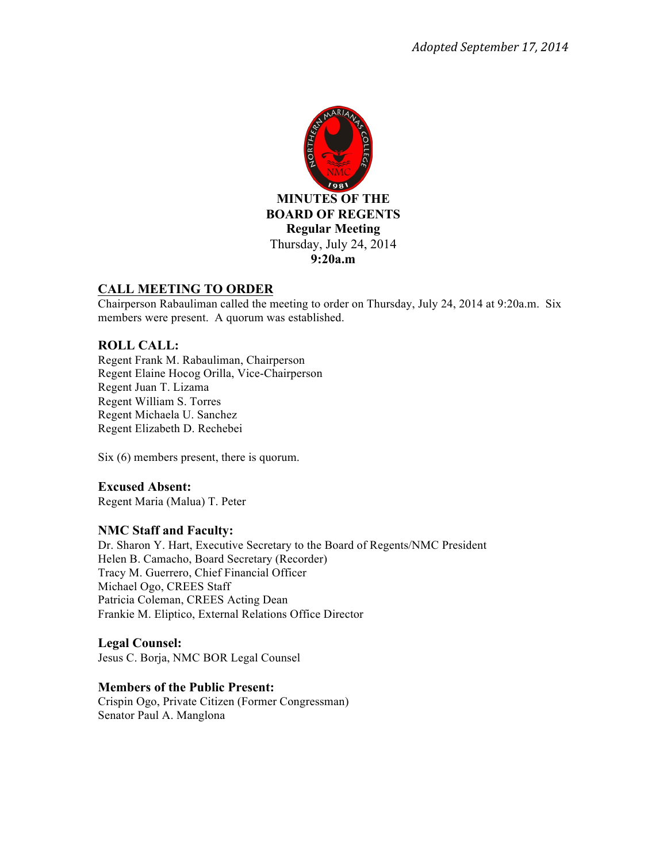

# **CALL MEETING TO ORDER**

Chairperson Rabauliman called the meeting to order on Thursday, July 24, 2014 at 9:20a.m. Six members were present. A quorum was established.

# **ROLL CALL:**

Regent Frank M. Rabauliman, Chairperson Regent Elaine Hocog Orilla, Vice-Chairperson Regent Juan T. Lizama Regent William S. Torres Regent Michaela U. Sanchez Regent Elizabeth D. Rechebei

Six (6) members present, there is quorum.

# **Excused Absent:**

Regent Maria (Malua) T. Peter

# **NMC Staff and Faculty:**

Dr. Sharon Y. Hart, Executive Secretary to the Board of Regents/NMC President Helen B. Camacho, Board Secretary (Recorder) Tracy M. Guerrero, Chief Financial Officer Michael Ogo, CREES Staff Patricia Coleman, CREES Acting Dean Frankie M. Eliptico, External Relations Office Director

# **Legal Counsel:**

Jesus C. Borja, NMC BOR Legal Counsel

#### **Members of the Public Present:**

Crispin Ogo, Private Citizen (Former Congressman) Senator Paul A. Manglona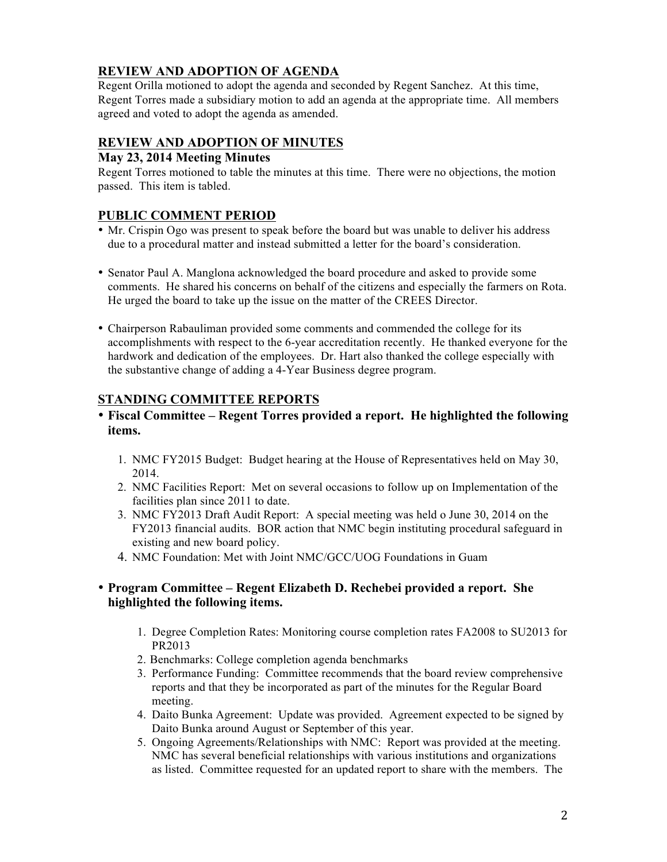# **REVIEW AND ADOPTION OF AGENDA**

Regent Orilla motioned to adopt the agenda and seconded by Regent Sanchez. At this time, Regent Torres made a subsidiary motion to add an agenda at the appropriate time. All members agreed and voted to adopt the agenda as amended.

# **REVIEW AND ADOPTION OF MINUTES**

# **May 23, 2014 Meeting Minutes**

Regent Torres motioned to table the minutes at this time. There were no objections, the motion passed. This item is tabled.

# **PUBLIC COMMENT PERIOD**

- Mr. Crispin Ogo was present to speak before the board but was unable to deliver his address due to a procedural matter and instead submitted a letter for the board's consideration.
- Senator Paul A. Manglona acknowledged the board procedure and asked to provide some comments. He shared his concerns on behalf of the citizens and especially the farmers on Rota. He urged the board to take up the issue on the matter of the CREES Director.
- Chairperson Rabauliman provided some comments and commended the college for its accomplishments with respect to the 6-year accreditation recently. He thanked everyone for the hardwork and dedication of the employees. Dr. Hart also thanked the college especially with the substantive change of adding a 4-Year Business degree program.

# **STANDING COMMITTEE REPORTS**

# • **Fiscal Committee – Regent Torres provided a report. He highlighted the following items.**

- 1. NMC FY2015 Budget: Budget hearing at the House of Representatives held on May 30, 2014.
- 2. NMC Facilities Report: Met on several occasions to follow up on Implementation of the facilities plan since 2011 to date.
- 3. NMC FY2013 Draft Audit Report: A special meeting was held o June 30, 2014 on the FY2013 financial audits. BOR action that NMC begin instituting procedural safeguard in existing and new board policy.
- 4. NMC Foundation: Met with Joint NMC/GCC/UOG Foundations in Guam

# • **Program Committee – Regent Elizabeth D. Rechebei provided a report. She highlighted the following items.**

- 1. Degree Completion Rates: Monitoring course completion rates FA2008 to SU2013 for PR2013
- 2. Benchmarks: College completion agenda benchmarks
- 3. Performance Funding: Committee recommends that the board review comprehensive reports and that they be incorporated as part of the minutes for the Regular Board meeting.
- 4. Daito Bunka Agreement: Update was provided. Agreement expected to be signed by Daito Bunka around August or September of this year.
- 5. Ongoing Agreements/Relationships with NMC: Report was provided at the meeting. NMC has several beneficial relationships with various institutions and organizations as listed. Committee requested for an updated report to share with the members. The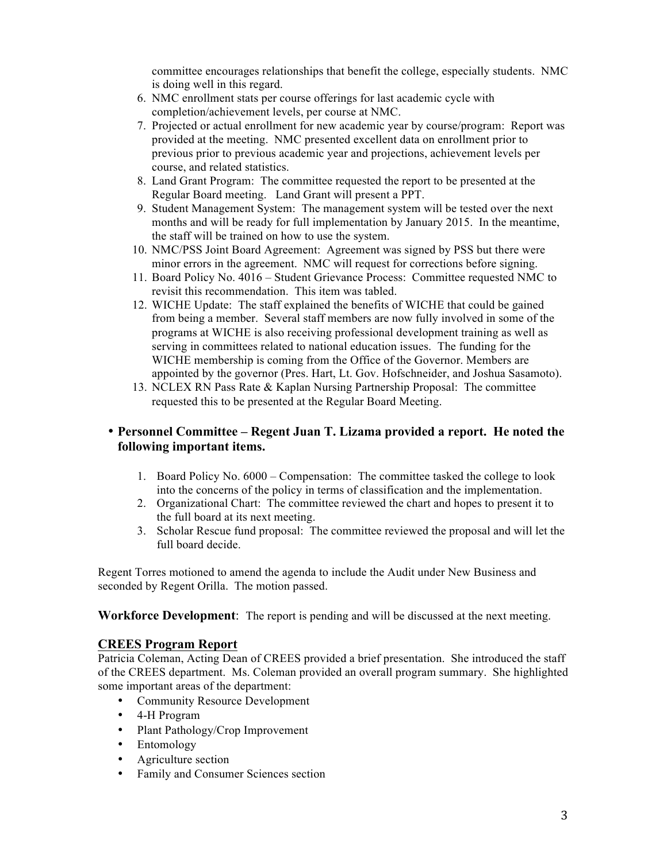committee encourages relationships that benefit the college, especially students. NMC is doing well in this regard.

- 6. NMC enrollment stats per course offerings for last academic cycle with completion/achievement levels, per course at NMC.
- 7. Projected or actual enrollment for new academic year by course/program: Report was provided at the meeting. NMC presented excellent data on enrollment prior to previous prior to previous academic year and projections, achievement levels per course, and related statistics.
- 8. Land Grant Program: The committee requested the report to be presented at the Regular Board meeting. Land Grant will present a PPT.
- 9. Student Management System: The management system will be tested over the next months and will be ready for full implementation by January 2015. In the meantime, the staff will be trained on how to use the system.
- 10. NMC/PSS Joint Board Agreement: Agreement was signed by PSS but there were minor errors in the agreement. NMC will request for corrections before signing.
- 11. Board Policy No. 4016 Student Grievance Process: Committee requested NMC to revisit this recommendation. This item was tabled.
- 12. WICHE Update: The staff explained the benefits of WICHE that could be gained from being a member. Several staff members are now fully involved in some of the programs at WICHE is also receiving professional development training as well as serving in committees related to national education issues. The funding for the WICHE membership is coming from the Office of the Governor. Members are appointed by the governor (Pres. Hart, Lt. Gov. Hofschneider, and Joshua Sasamoto).
- 13. NCLEX RN Pass Rate & Kaplan Nursing Partnership Proposal: The committee requested this to be presented at the Regular Board Meeting.

# • **Personnel Committee – Regent Juan T. Lizama provided a report. He noted the following important items.**

- 1. Board Policy No. 6000 Compensation: The committee tasked the college to look into the concerns of the policy in terms of classification and the implementation.
- 2. Organizational Chart: The committee reviewed the chart and hopes to present it to the full board at its next meeting.
- 3. Scholar Rescue fund proposal: The committee reviewed the proposal and will let the full board decide.

Regent Torres motioned to amend the agenda to include the Audit under New Business and seconded by Regent Orilla. The motion passed.

**Workforce Development**: The report is pending and will be discussed at the next meeting.

# **CREES Program Report**

Patricia Coleman, Acting Dean of CREES provided a brief presentation. She introduced the staff of the CREES department. Ms. Coleman provided an overall program summary. She highlighted some important areas of the department:

- Community Resource Development
- 4-H Program
- Plant Pathology/Crop Improvement
- Entomology
- Agriculture section
- Family and Consumer Sciences section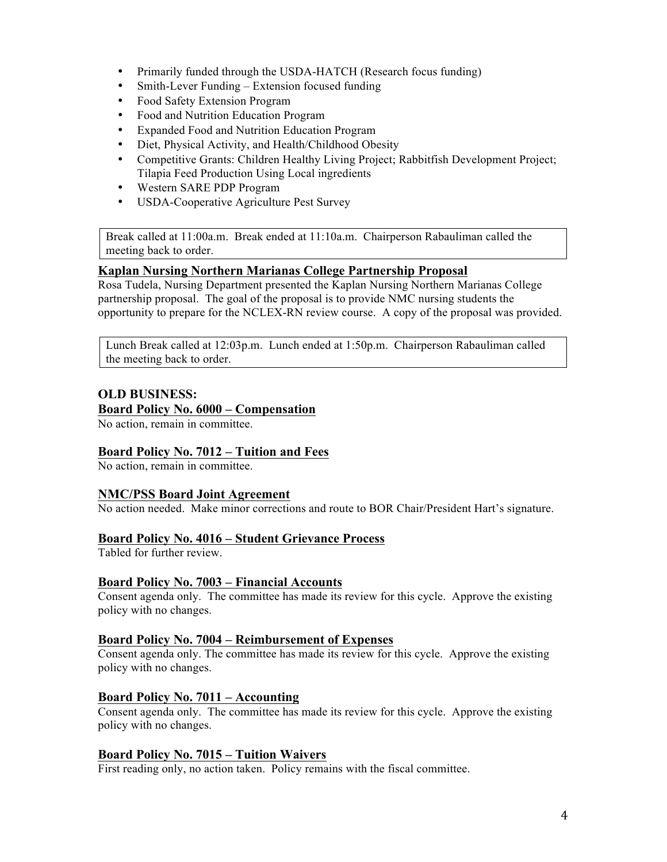- Primarily funded through the USDA-HATCH (Research focus funding)
- Smith-Lever Funding Extension focused funding
- Food Safety Extension Program
- Food and Nutrition Education Program
- Expanded Food and Nutrition Education Program
- Diet, Physical Activity, and Health/Childhood Obesity
- Competitive Grants: Children Healthy Living Project; Rabbitfish Development Project; Tilapia Feed Production Using Local ingredients
- Western SARE PDP Program
- USDA-Cooperative Agriculture Pest Survey

Break called at 11:00a.m. Break ended at 11:10a.m. Chairperson Rabauliman called the meeting back to order.

### **Kaplan Nursing Northern Marianas College Partnership Proposal**

Rosa Tudela, Nursing Department presented the Kaplan Nursing Northern Marianas College partnership proposal. The goal of the proposal is to provide NMC nursing students the opportunity to prepare for the NCLEX-RN review course. A copy of the proposal was provided.

Lunch Break called at 12:03p.m. Lunch ended at 1:50p.m. Chairperson Rabauliman called the meeting back to order.

# **OLD BUSINESS:**

**Board Policy No. 6000 – Compensation** 

No action, remain in committee.

# **Board Policy No. 7012 – Tuition and Fees**

No action, remain in committee.

#### **NMC/PSS Board Joint Agreement**

No action needed. Make minor corrections and route to BOR Chair/President Hart's signature.

# **Board Policy No. 4016 – Student Grievance Process**

Tabled for further review.

#### **Board Policy No. 7003 – Financial Accounts**

Consent agenda only. The committee has made its review for this cycle. Approve the existing policy with no changes.

#### **Board Policy No. 7004 – Reimbursement of Expenses**

Consent agenda only. The committee has made its review for this cycle. Approve the existing policy with no changes.

# **Board Policy No. 7011 – Accounting**

Consent agenda only. The committee has made its review for this cycle. Approve the existing policy with no changes.

#### **Board Policy No. 7015 – Tuition Waivers**

First reading only, no action taken. Policy remains with the fiscal committee.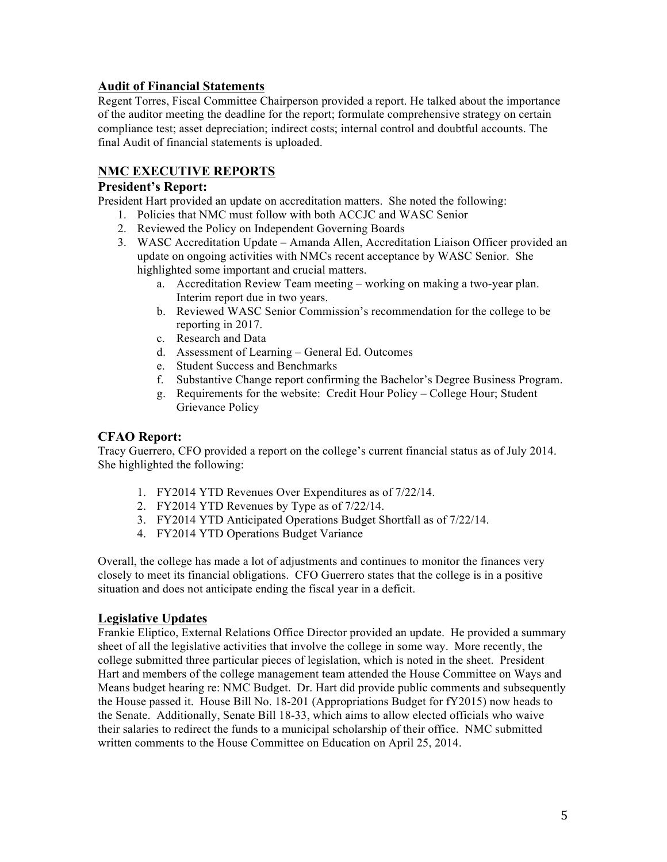# **Audit of Financial Statements**

Regent Torres, Fiscal Committee Chairperson provided a report. He talked about the importance of the auditor meeting the deadline for the report; formulate comprehensive strategy on certain compliance test; asset depreciation; indirect costs; internal control and doubtful accounts. The final Audit of financial statements is uploaded.

# **NMC EXECUTIVE REPORTS**

# **President's Report:**

President Hart provided an update on accreditation matters. She noted the following:

- 1. Policies that NMC must follow with both ACCJC and WASC Senior
- 2. Reviewed the Policy on Independent Governing Boards
- 3. WASC Accreditation Update Amanda Allen, Accreditation Liaison Officer provided an update on ongoing activities with NMCs recent acceptance by WASC Senior. She highlighted some important and crucial matters.
	- a. Accreditation Review Team meeting working on making a two-year plan. Interim report due in two years.
	- b. Reviewed WASC Senior Commission's recommendation for the college to be reporting in 2017.
	- c. Research and Data
	- d. Assessment of Learning General Ed. Outcomes
	- e. Student Success and Benchmarks
	- f. Substantive Change report confirming the Bachelor's Degree Business Program.
	- g. Requirements for the website: Credit Hour Policy College Hour; Student Grievance Policy

# **CFAO Report:**

Tracy Guerrero, CFO provided a report on the college's current financial status as of July 2014. She highlighted the following:

- 1. FY2014 YTD Revenues Over Expenditures as of 7/22/14.
- 2. FY2014 YTD Revenues by Type as of 7/22/14.
- 3. FY2014 YTD Anticipated Operations Budget Shortfall as of 7/22/14.
- 4. FY2014 YTD Operations Budget Variance

Overall, the college has made a lot of adjustments and continues to monitor the finances very closely to meet its financial obligations. CFO Guerrero states that the college is in a positive situation and does not anticipate ending the fiscal year in a deficit.

# **Legislative Updates**

Frankie Eliptico, External Relations Office Director provided an update. He provided a summary sheet of all the legislative activities that involve the college in some way. More recently, the college submitted three particular pieces of legislation, which is noted in the sheet. President Hart and members of the college management team attended the House Committee on Ways and Means budget hearing re: NMC Budget. Dr. Hart did provide public comments and subsequently the House passed it. House Bill No. 18-201 (Appropriations Budget for fY2015) now heads to the Senate. Additionally, Senate Bill 18-33, which aims to allow elected officials who waive their salaries to redirect the funds to a municipal scholarship of their office. NMC submitted written comments to the House Committee on Education on April 25, 2014.